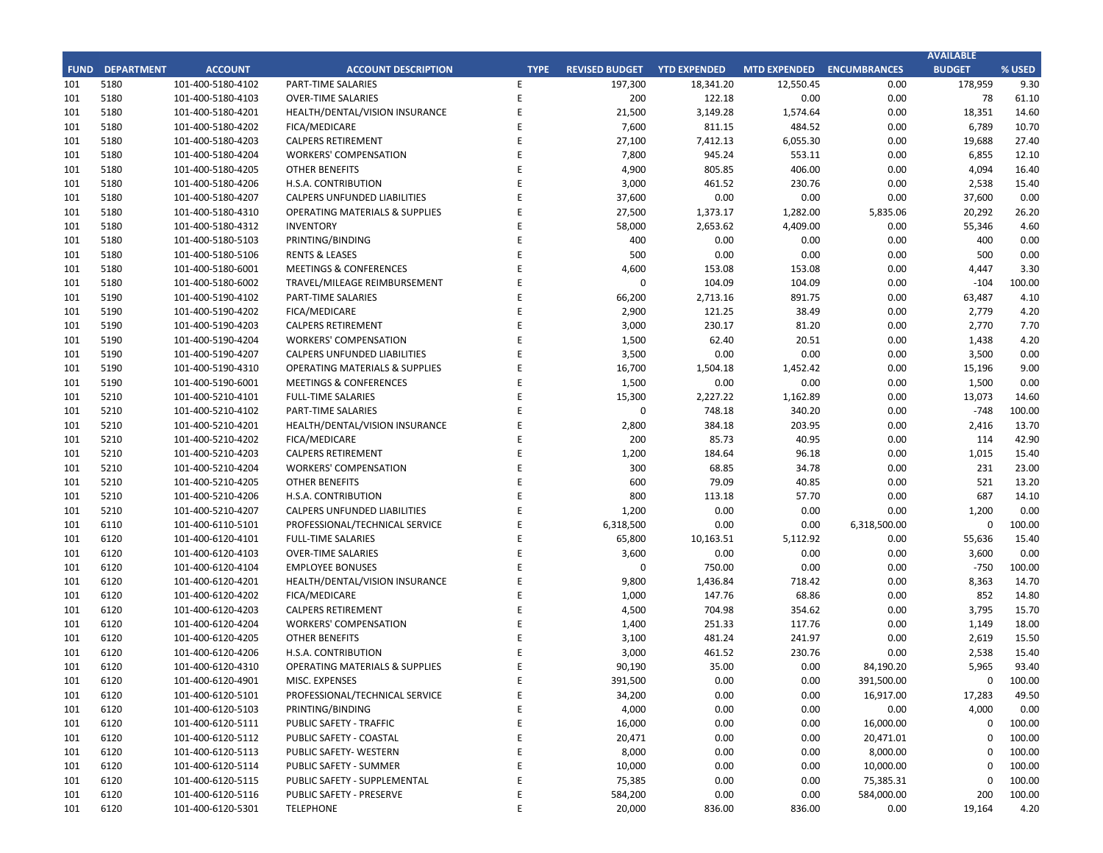## **CITY OF RANCHO PALOS VERDES SUMMARY OF EXPENDITURES - ALL FUNDS August 31, 2019**

|             |                                     |                       |                    | FY 2019-20         |                                        |             | FY 2018-19           |                                                   |            |
|-------------|-------------------------------------|-----------------------|--------------------|--------------------|----------------------------------------|-------------|----------------------|---------------------------------------------------|------------|
| <b>FUND</b> | <b>FUND DESCRIPTION</b>             | <b>REVISED BUDGET</b> | <b>YTD ACTUALS</b> | <b>YTD ENCUMB.</b> | <b>YTD ACTUALS +</b><br><b>ENCUMB.</b> | <b>USED</b> | <b>YTD ACTUALS +</b> | YEAR OVER YEAR CHANGE<br><b>ACTUALS + ENCUMB.</b> |            |
|             | 101 GENERAL FUND                    |                       |                    |                    |                                        |             | <b>ENCUMB.</b>       |                                                   |            |
|             | <b>CITY COUNCIL</b>                 | \$<br>123,200         | \$<br>$12,580$ \$  |                    | 0 <sup>5</sup><br>12,580               | 10.2%       | \$<br>30,432         | (517, 852)                                        | $-58.7%$   |
|             | <b>LEGAL SERVICES</b>               | 925,000               | 99,742             | $\mathbf{0}$       | 99,742                                 | 10.8%       | 127,848              | (28, 106)                                         | $-22.0%$   |
|             | <b>CITY CLERK</b>                   | 711,100               | 66,450             | 1,839              | 68,288                                 | 9.6%        | 60,492               | 7,797                                             | 12.9%      |
|             | <b>CITY MANAGER</b>                 | 778,000               | 89,932             | 3,600              | 93,532                                 | 12.0%       | 162,399              | (68, 868)                                         | $-42.4%$   |
|             | <b>CITY ADMINISTRATION</b>          | 493,300               | 36,358             | 92,000             | 128,358                                | 26.0%       | 87,017               | 41,341                                            | 47.5%      |
|             | <b>HUMAN RESOURCES</b>              | 391,900               | 41,349             | 1,674              | 43,024                                 | 11.0%       | 59,626               | (16, 603)                                         | $-27.8%$   |
|             | <b>INFORMATION TECHNOLOGIES</b>     | 1,197,689             | 176,180            | 280,599            | 456,779                                | 38.1%       | 459,977              | (3, 198)                                          | $-0.7%$    |
|             | <b>FINANCE</b>                      | 1,641,300             | 204,443            | 71,983             | 276,426                                | 16.8%       | 259,452              | 16,974                                            | 6.5%       |
|             | <b>PUBLIC WORKS</b>                 | 5,331,800             | 455,368            | 1,693,080          | 2,148,448                              | 40.3%       | 1,712,225            | 436,223                                           | 25.5%      |
|             | <b>COMMUNITY DEVELOPMENT</b>        | 3,692,900             | 347,862            | 677,095            | 1,024,957                              | 27.8%       | 1,049,082            | (24, 124)                                         | $-2.3%$    |
|             | <b>RECREATIONAL &amp; PARKS</b>     | 2,862,200             | 379,735            | 59,751             | 439,487                                | 15.4%       | 428,445              | 11,041                                            | 2.6%       |
|             | PUBLIC SAFETY                       | 7,300,200             | 622,799            | 6,134,765          | 6,757,564                              | 92.6%       | 7,600,335            | (842, 771)                                        | $-11.1%$   |
|             | NON-DEPARTMENTAL                    | 1,297,800             | 204,236            | 35,468             | 239,704                                | 18.5%       | 236,096              | 3,608                                             | 1.5%       |
|             | <b>TRANSFERS OUT</b>                | 4,116,900             | $\mathbf{0}$       | $\mathbf{0}$       | $\mathbf{0}$                           | 0.0%        | 0                    | $\mathbf{0}$                                      | 0.0%       |
|             | <b>TOTAL GENERAL FUND</b>           | 30,863,289            | 2,737,034          | 9,051,854          | 11,788,888                             | 38.2%       | 12,273,426           | (484, 538)                                        | $-3.9%$    |
|             |                                     |                       |                    |                    |                                        |             |                      |                                                   |            |
|             | <b>200 SPECIAL REVENUE FUNDS</b>    |                       |                    |                    |                                        |             |                      |                                                   |            |
|             | 202 STREET MAINTENANCE              | 2,586,800             | 112,764            | 772,417            | 885,181                                | 34.2%       | 648,875              | 236,306                                           | 36.4%      |
|             | 203 1972 ACT LANDSCAPING & LIGHTING | $\mathbf 0$           | $\mathbf{0}$       | $\mathbf{0}$       | $\mathbf 0$                            | 0.0%        | $\mathbf 0$          | $\mathbf{0}$                                      | 0.0%       |
|             | 209 EL PRADO LIGHTING DISTRICT      | 800                   | $\mathbf{0}$       | $\mathbf 0$        | 0                                      | 0.0%        | $\mathbf 0$          | 0                                                 | 0.0%       |
|             | 211 1911 ACT STREET LIGHTING        | 348,000               | 29,964             | 27,702             | 57,666                                 | 16.6%       | 894,351              | (836, 686)                                        | $-93.6%$   |
|             | 212 BEAUTIFICATION                  | $\mathsf 0$           | 0                  | 0                  | 0                                      | 0.0%        | 352,595              | (352, 595)                                        | $-100.0\%$ |
|             | 213 WASTE REDUCTION                 | 304,100               | 28,884             | 126,083            | 154,966                                | 51.0%       | 124,870              | 30,096                                            | 24.1%      |
|             | 214 AIR QUALITY MANAGEMENT          | 50,000                | 0                  | 0                  | 0                                      | 0.0%        | 50,000               | (50,000)                                          | $-100.0%$  |
|             | 215 PROPOSITION C                   | 678,100               | $\mathbf 0$        | 678,100            | 678,100                                | 100.0%      | 78,000               | 600,100                                           | 769.4%     |
|             | 216 PROPOSITION A                   | 1,201,100             | $\mathbf 0$        | 29,000             | 29,000                                 | 2.4%        | 678,154              | (649, 154)                                        | $-95.7%$   |
|             | 217 PUBLIC SAFETY GRANTS            | 175,000               | $\mathbf{0}$       | $\mathbf 0$        | $\mathbf 0$                            | 0.0%        | $\mathsf{O}$         | $\mathbf 0$                                       | 0.0%       |
|             | 220 MEASURE R                       | 700,000               | 0                  | 249,964            | 249,964                                | 35.7%       | 0                    | 249,964                                           | 0.0%       |
|             | 221 MEASURE M                       | 536,000               | 60,831             | 474,169            | 535,000                                | 99.8%       | 180,200              | 354,800                                           | 196.9%     |
|             | 222 HABITAT RESTORATION             | 179,500               | 38,309             | 141,188            | 179,497                                | 100.0%      | 149,500              | 29,997                                            | 20.1%      |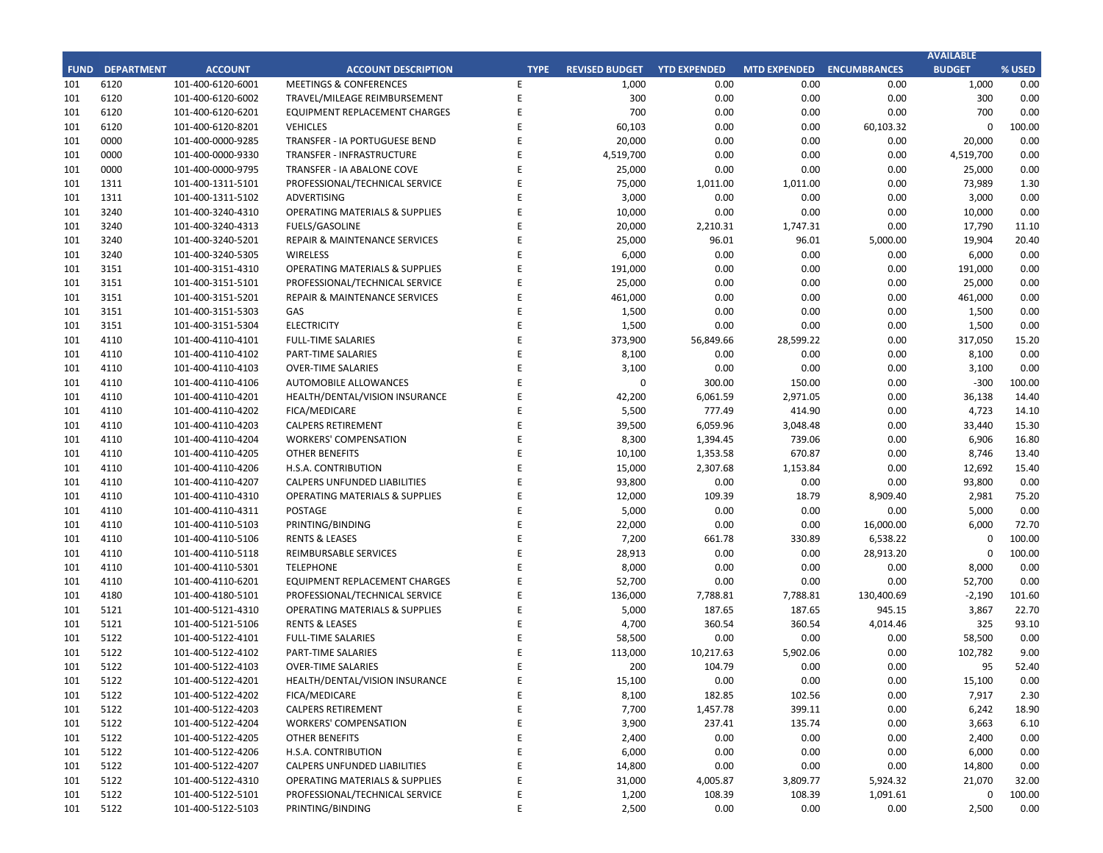## **CITY OF RANCHO PALOS VERDES SUMMARY OF EXPENDITURES - ALL FUNDS August 31, 2019**

|             |                                          |                       |                    | FY 2019-20         |                                        |             | FY 2018-19                             |                                                   |            |
|-------------|------------------------------------------|-----------------------|--------------------|--------------------|----------------------------------------|-------------|----------------------------------------|---------------------------------------------------|------------|
| <b>FUND</b> | <b>FUND DESCRIPTION</b>                  | <b>REVISED BUDGET</b> | <b>YTD ACTUALS</b> | <b>YTD ENCUMB.</b> | <b>YTD ACTUALS +</b><br><b>ENCUMB.</b> | <b>USED</b> | <b>YTD ACTUALS +</b><br><b>ENCUMB.</b> | YEAR OVER YEAR CHANGE<br><b>ACTUALS + ENCUMB.</b> |            |
|             | 223 SUBREGION ONE MAINTENANCE            | 46,800                | 4,155              | 23,544             | 27,698                                 | 59.2%       | 1,516                                  | 26,182                                            | 1727.0%    |
| 224         | <b>MEASURE A MAINTENANCE</b>             | 100,000               | $\Omega$           | $\Omega$           | 0                                      | 0.0%        | 0                                      | $\mathbf 0$                                       | 0.0%       |
|             | 225 ABALONE COVE SEWER DISTRICT          | 648,100               | 2,299              | 32,950             | 35,249                                 | 5.4%        | 11,081                                 | 24,168                                            | 218.1%     |
| 227         | GINSBERG CULTURAL ARTS BLDG.             | 0                     | 0                  | 0                  | 0                                      | 0.0%        | 0                                      | $\mathbf 0$                                       | 0.0%       |
|             | 228 DONOR RESTRICTED CONTRIBUTIONS       | 25,000                | 721                | 3,387              | 4,108                                  | 16.4%       | 63,587                                 | (59, 478)                                         | $-93.5%$   |
|             | <b>TOTAL SPECIAL REVENUE FUNDS</b>       | 7,579,300             | 277,926            | 2,558,504          | 2,836,429                              | 37.4%       | 3,232,729                              | (396, 300)                                        | $-12.3%$   |
|             |                                          |                       |                    |                    |                                        |             |                                        |                                                   |            |
| <b>300</b>  | <b>CAPITAL PROJECTS FUNDS</b>            |                       |                    |                    |                                        |             |                                        |                                                   |            |
| 310         | COMMUNITY DEVELOPMENT BLOCK GRANT (CDBG) | 150,600               | 4,920              | (4,920)            | 0                                      | 0.0%        | 22,903                                 | (22, 903)                                         | $-100.0\%$ |
| 330         | <b>INFRASTRUCTURE IMPROVEMENTS</b>       | 10,373,309            | 118,650            | 1,962,096          | 2,080,746                              | 20.1%       | 4,569,746                              | (2,489,000)                                       | $-54.5%$   |
|             | 331 FEDERAL GRANTS                       | 0                     | 0                  | 0                  | 0                                      | 0.0%        | 0                                      | 0                                                 | 0.0%       |
|             | 332 STATE GRANTS                         | $\mathsf{O}\xspace$   | 8,003              | (8,003)            | $\mathbf 0$                            | 0.0%        | 0                                      | $\mathbf 0$                                       | 0.0%       |
| 334         | <b>QUIMBY PARK DEVELOPMENT</b>           | $\mathbf 0$           | 130,077            | (129, 552)         | 525                                    | 0.0%        | 6,568                                  | (6,043)                                           | $-92.0%$   |
|             | 336 LOW-MODERATE INCOME HOUSING          | $\mathsf{O}\xspace$   | $\mathbf 0$        | $\mathbf 0$        | $\mathbf 0$                            | 0.0%        | 0                                      | $\mathbf{0}$                                      | 0.0%       |
|             | 337 AFFORDABLE HOUSING PROJECTS          | $\mathbf 0$           | $\mathbf 0$        | $\Omega$           | $\mathbf 0$                            | 0.0%        | 0                                      | $\Omega$                                          | 0.0%       |
|             | 338 DEVELOPMENT IMPACT MITIGATION (EET)  | 310,000               | 0                  | 304,000            | 304,000                                | 98.1%       | 0                                      | 304,000                                           | 0.0%       |
|             | 340 BICYCLE & PEDESTRIAN ACCESS          | $\mathbf 0$           | 0                  | $\Omega$           | $\mathbf 0$                            | 0.0%        | 0                                      | $\mathbf 0$                                       | 0.0%       |
|             | <b>TOTAL CAPITAL PROJECTS FUNDS</b>      | 10,833,909            | 261,650            | 2,123,621          | 2,385,271                              | 22.0%       | 4,599,216                              | (2, 213, 945)                                     | $-48.1%$   |
| 500         | <b>ENTERPRISE FUNDS</b>                  |                       |                    |                    |                                        |             |                                        |                                                   |            |
|             | 501 WATER QUALITY FLOOD PROTECTION       | 0                     | 0                  | 0                  | 0                                      | 0.0%        | 0                                      | 0                                                 | 0.0%       |
|             |                                          | $\mathbf{0}$          | $\mathbf{0}$       | $\mathbf{0}$       |                                        |             | $\mathbf{0}$                           | $\mathbf{0}$                                      |            |
|             | <b>TOTAL ENTERPRISE FUNDS</b>            |                       |                    |                    | $\mathbf{0}$                           | 0.0%        |                                        |                                                   | 0.0%       |
| 600         | <b>INTERNAL SERVICE FUND</b>             |                       |                    |                    |                                        |             |                                        |                                                   |            |
|             | 681 EQUIPMENT REPLACEMENT                | 749,200               | 6,812              | 143,666            | 150,478                                | 20.1%       | 238,514                                | (88,037)                                          | $-36.9%$   |
|             | <b>685 EMPLOYEE BENEFITS</b>             | $\mathbf{0}$          | $\mathbf{0}$       | $\mathbf{0}$       | $\mathbf{0}$                           | 0.0%        | 0                                      | $\mathbf{0}$                                      | 0.0%       |
|             | <b>TOTAL INTERNAL SERVICE FUNDS</b>      | 749,200               | 6,812              | 143,666            | 150,478                                | 20.1%       | 238,514                                | (88,037)                                          | $-36.9%$   |
|             |                                          |                       |                    |                    |                                        |             |                                        |                                                   |            |
|             | <b>REDEVELOPMENT AGENCY</b>              |                       |                    |                    |                                        |             |                                        |                                                   |            |
|             | 701 REDEVELOPMENT OBLIGATION             | 0                     | 0                  | 0                  | 0                                      | 0.0%        | 0                                      | 0                                                 | 0.0%       |
|             | <b>TOTAL REDEVELOPMENT AGENCY</b>        | $\mathbf{0}$          | $\mathbf{0}$       | $\bf{0}$           | $\mathbf{0}$                           | 0.0%        | $\mathbf{0}$                           | $\bf{0}$                                          | 0.0%       |